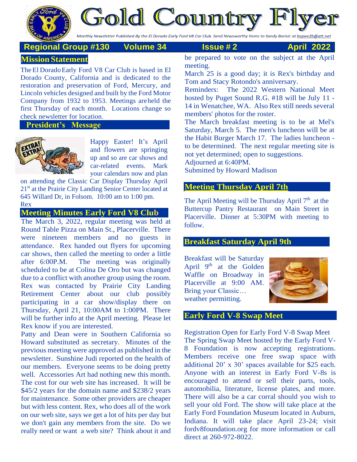

**Gold Country Fl** 

Monthly Newsletter Published By the El Dorado Early Ford V8 Car Club. Send Newsworthy Items to Sandy Barisic at hapee2b@att.net

# **Regional Group #130 Volume 34 Issue # 2 April 2022**

# **Mission Statement**

The El Dorado Early Ford V8 Car Club is based in El Dorado County, California and is dedicated to the restoration and preservation of Ford, Mercury, and Lincoln vehicles designed and built by the Ford Motor Company from 1932 to 1953. Meetings areheld the first Thursday of each month. Locations change so check newsletter for location.

#### **President's Message**



Happy Easter! It's April and flowers are springing up and so are car shows and car-related events. Mark your calendars now and plan

on attending the Classic Car Display Thursday April 21<sup>st</sup> at the Prairie City Landing Senior Center located at 645 Willard Dr, in Folsom. 10:00 am to 1:00 pm. Rex

## **Meeting Minutes Early Ford V8 Club**

The March 3, 2022, regular meeting was held at Round Table Pizza on Main St., Placerville. There were nineteen members and no guests in attendance. Rex handed out flyers for upcoming car shows, then called the meeting to order a little after 6:00P.M. The meeting was originally scheduled to be at Colina De Oro but was changed due to a conflict with another group using the room. Rex was contacted by Prairie City Landing Retirement Center about our club possibly participating in a car show/display there on Thursday, April 21, 10:00AM to 1:00PM. There will be further info at the April meeting. Please let Rex know if you are interested.

Patty and Dean were in Southern California so Howard substituted as secretary. Minutes of the previous meeting were approved as published in the newsletter. Sunshine Judi reported on the health of our members. Everyone seems to be doing pretty well. Accessories Art had nothing new this month. The cost for our web site has increased. It will be \$45/2 years for the domain name and \$238/2 years for maintenance. Some other providers are cheaper but with less content. Rex, who does all of the work on our web site, says we get a lot of hits per day but we don't gain any members from the site. Do we really need or want a web site? Think about it and be prepared to vote on the subject at the April meeting.

March 25 is a good day; it is Rex's birthday and Tom and Stacy Rotondo's anniversary.

Reminders: The 2022 Western National Meet hosted by Puget Sound R.G. #18 will be July 11 - 14 in Wenatchee, WA. Also Rex still needs several members' photos for the roster.

The March breakfast meeting is to be at Mel's Saturday, March 5. The men's luncheon will be at the Habit Burger March 17. The ladies luncheon to be determined. The next regular meeting site is not yet determined; open to suggestions. Adjourned at 6:40PM.

Submitted by Howard Madison

## **Meeting Thursday April 7th**

The April Meeting will be Thursday April  $7<sup>th</sup>$  at the Buttercup Pantry Restaurant on Main Street in Placerville. Dinner at 5:30PM with meeting to follow.

# **Breakfast Saturday April 9th**

Breakfast will be Saturday April  $9<sup>th</sup>$  at the Golden Waffle on Broadway in Placerville at 9:00 AM. Bring your Classic… weather permitting.



# **Early Ford V-8 Swap Meet**

Registration Open for Early Ford V-8 Swap Meet The Spring Swap Meet hosted by the Early Ford V-8 Foundation is now accepting registrations. Members receive one free swap space with additional 20' x 30' spaces available for \$25 each. Anyone with an interest in Early Ford V-8s is encouraged to attend or sell their parts, tools, automobilia, literature, license plates, and more. There will also be a car corral should you wish to sell your old Ford. The show will take place at the Early Ford Foundation Museum located in Auburn, Indiana. It will take place April 23-24; visit fordv8foundation.org for more information or call direct at 260-972-8022.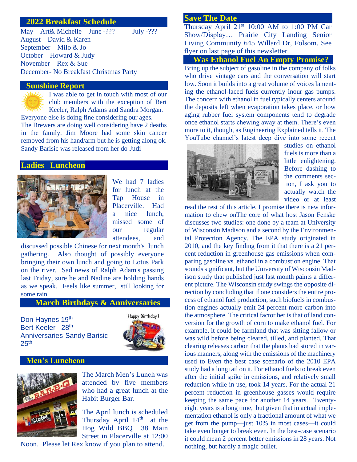#### **2022 Breakfast Schedule**

May – Art& Michelle June -??? July -??? August – David & Karen September – Milo & Jo October – Howard & Judy November – Rex & Sue December- No Breakfast Christmas Party

#### **Sunshine Report**

I was able to get in touch with most of our club members with the exception of Bert Keeler, Ralph Adams and Sandra Morgan.

Everyone else is doing fine considering our ages. The Brewers are doing well considering have 2 deaths in the family. Jim Moore had some skin cancer removed from his hand/arm but he is getting along ok. Sandy Barisic was released from her do Judi

#### **Ladies Luncheon**



We had 7 ladies for lunch at the Tap House in Placerville. Had a nice lunch, missed some of our regular attendees, and

discussed possible Chinese for next month's lunch gathering. Also thought of possibly everyone bringing their own lunch and going to Lotus Park on the river. Sad news of Ralph Adam's passing last Friday, sure he and Nadine are holding hands as we speak. Feels like summer, still looking for some rain.

#### **March Birthdays & Anniversaries**

Don Haynes 19th Bert Keeler 28th Anniversaries-Sandy Barisic  $25<sup>th</sup>$ 



# **Men's Luncheon**



The March Men's Lunch was attended by five members who had a great lunch at the Habit Burger Bar.

The April lunch is scheduled Thursday April 14<sup>th</sup> at the Hog Wild BBQ 38 Main Street in Placerville at 12:00

Noon. Please let Rex know if you plan to attend.

#### **Save The Date**

Thursday April 21<sup>st</sup> 10:00 AM to 1:00 PM Car Show/Display… Prairie City Landing Senior Living Community 645 Willard Dr, Folsom. See flyer on last page of this newsletter.

#### **Was Ethanol Fuel An Empty Promise?**

Bring up the subject of gasoline in the company of folks who drive vintage cars and the conversation will start low. Soon it builds into a great volume of voices lamenting the ethanol-laced fuels currently inour gas pumps. The concern with ethanol in fuel typically centers around the deposits left when evaporation takes place, or how aging rubber fuel system components tend to degrade once ethanol starts chewing away at them. There's even more to it, though, as Engineering Explained tells it. The YouTube channel's latest deep dive into some recent



studies on ethanol fuels is more than a little enlightening. Before dashing to the comments section, I ask you to actually watch the video or at least

read the rest of this article. I promise there is new information to chew onThe core of what host Jason Fenske discusses two studies: one done by a team at University of Wisconsin Madison and a second by the Environmental Protection Agency. The EPA study originated in 2010, and the key finding from it that there is a 21 percent reduction in greenhouse gas emissions when comparing gasoline vs. ethanol in a combustion engine. That sounds significant, but the University of Wisconsin Madison study that published just last month paints a different picture. The Wisconsin study swings the opposite direction by concluding that if one considers the entire process of ethanol fuel production, such biofuels in combustion engines actually emit 24 percent more carbon into the atmosphere. The critical factor her is that of land conversion for the growth of corn to make ethanol fuel. For example, it could be farmland that was sitting fallow or was wild before being cleared, tilled, and planted. That clearing releases carbon that the plants had stored in various manners, along with the emissions of the machinery used to Even the best case scenario of the 2010 EPA study had a long tail on it. For ethanol fuels to break even after the initial spike in emissions, and relatively small reduction while in use, took 14 years. For the actual 21 percent reduction in greenhouse gasses would require keeping the same pace for another 14 years. Twentyeight years is a long time, but given that in actual implementation ethanol is only a fractional amount of what we get from the pump—just 10% in most cases—it could take even longer to break even. In the best-case scenario it could mean 2 percent better emissions in 28 years. Not nothing, but hardly a magic bullet.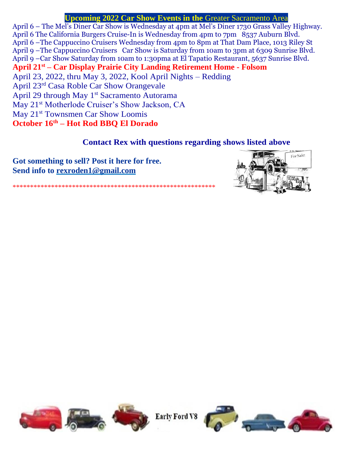# **Upcoming 2022 Car Show Events in the** Greater Sacramento Area

April 6 – The Mel's Diner Car Show is Wednesday at 4pm at Mel's Diner 1730 Grass Valley Highway. April 6 [The California Burgers Cruise-In](https://norcalcarculture.com/events/california-burgers-cruise-in/) is Wednesday from 4pm to 7pm 8537 Auburn Blvd. April 6 –The Cappuccino Cruisers Wednesday from 4pm to 8pm at That Dam Place, 1013 Riley St April 9 –The Cappuccino Cruisers Car Show is Saturday from 10am to 3pm at 6309 Sunrise Blvd. April 9 –Car Show Saturday from 10am to 1:30pma at El Tapatio Restaurant, 5637 Sunrise Blvd. **April 21st – Car Display Prairie City Landing Retirement Home - Folsom**  April 23, 2022, thru May 3, 2022, Kool April Nights – Redding April 23rd Casa Roble Car Show Orangevale April 29 through May 1<sup>st</sup> Sacramento Autorama May 21<sup>st</sup> Motherlode Cruiser's Show Jackson, CA May 21<sup>st</sup> Townsmen Car Show Loomis **October 16th – Hot Rod BBQ El Dorado**

# **Contact Rex with questions regarding shows listed above**

**Got something to sell? Post it here for free. Send info to [rex](mailto:rexroden1@gmail.com)roden1@gmail.com**



\*\*\*\*\*\*\*\*\*\*\*\*\*\*\*\*\*\*\*\*\*\*\*\*\*\*\*\*\*\*\*\*\*\*\*\*\*\*\*\*\*\*\*\*\*\*\*\*\*\*\*\*\*\*\*\*\*\*